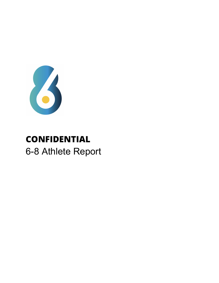

# **CONFIDENTIAL** 6-8 Athlete Report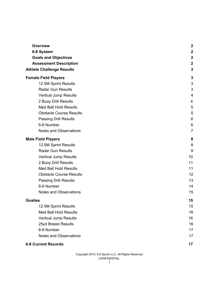| <b>Overview</b>                  | $\boldsymbol{2}$ |
|----------------------------------|------------------|
| 6-8 System                       | $\overline{2}$   |
| <b>Goals and Objectives</b>      | $\boldsymbol{2}$ |
| <b>Assessment Description</b>    | $\boldsymbol{2}$ |
| <b>Athlete Challenge Results</b> | 3                |
| <b>Female Field Players</b>      | 3                |
| 12.5M Sprint Results             | 3                |
| <b>Radar Gun Results</b>         | 3                |
| <b>Vertical Jump Results</b>     | 4                |
| 2 Buoy Drill Results             | 4                |
| <b>Med Ball Hold Results</b>     | 5                |
| <b>Obstacle Course Results</b>   | 5                |
| <b>Passing Drill Results</b>     | 6                |
| 6-8 Number                       | 6                |
| <b>Notes and Observations</b>    | $\overline{7}$   |
| <b>Male Field Players</b>        | 8                |
| 12.5M Sprint Results             | 8                |
| <b>Radar Gun Results</b>         | 9                |
| <b>Vertical Jump Results</b>     | 10               |
| 2 Buoy Drill Results             | 11               |
| <b>Med Ball Hold Results</b>     | 11               |
| <b>Obstacle Course Results</b>   | 12               |
| <b>Passing Drill Results</b>     | 13               |
| 6-8 Number                       | 14               |
| Notes and Observations           | 15               |
| <b>Goalies</b>                   | 15               |
| 12.5M Sprint Results             | 15               |
| <b>Med Ball Hold Results</b>     | 16               |
| <b>Vertical Jump Results</b>     | 16               |
| 25yd Breast Results              | 16               |
| 6-8 Number                       | 17               |
| <b>Notes and Observations</b>    | 17               |
|                                  |                  |

#### **6-8 Current Records 17**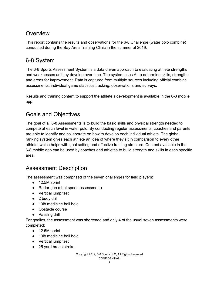## <span id="page-2-0"></span>**Overview**

This report contains the results and observations for the 6-8 Challenge (water polo combine) conducted during the Bay Area Training Clinic in the summer of 2019.

## <span id="page-2-1"></span>6-8 System

The 6-8 Sports Assessment System is a data driven approach to evaluating athlete strengths and weaknesses as they develop over time. The system uses AI to determine skills, strengths and areas for improvement. Data is captured from multiple sources including official combine assessments, individual game statistics tracking, observations and surveys.

Results and training content to support the athlete's development is available in the 6-8 mobile app.

## <span id="page-2-2"></span>Goals and Objectives

The goal of all 6-8 Assessments is to build the basic skills and physical strength needed to compete at each level in water polo. By conducting regular assessments, coaches and parents are able to identify and collaborate on how to develop each individual athlete. The global ranking system gives each athlete an idea of where they sit in comparison to every other athlete, which helps with goal setting and effective training structure. Content available in the 6-8 mobile app can be used by coaches and athletes to build strength and skills in each specific area.

## <span id="page-2-3"></span>Assessment Description

The assessment was comprised of the seven challenges for field players:

- 12.5M sprint
- Radar gun (shot speed assessment)
- Vertical jump test
- 2 buoy drill
- 10lb medicine ball hold
- Obstacle course
- Passing drill

For goalies, the assessment was shortened and only 4 of the usual seven assessments were completed:

- 12.5M sprint
- 10lb medicine ball hold
- Vertical jump test
- 25 yard breaststroke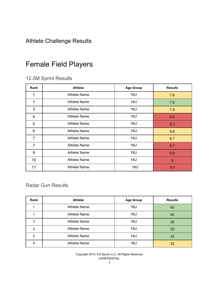## <span id="page-3-0"></span>Athlete Challenge Results

## <span id="page-3-1"></span>Female Field Players

### <span id="page-3-2"></span>12.5M Sprint Results

| Rank           | <b>Athlete</b>      | <b>Age Group</b> | <b>Results</b> |
|----------------|---------------------|------------------|----------------|
| 1              | <b>Athlete Name</b> | 16U              | 7.6            |
| 1              | <b>Athlete Name</b> | <b>14U</b>       | 7.6            |
| 3              | <b>Athlete Name</b> | 16U              | 7.8            |
| $\overline{4}$ | <b>Athlete Name</b> | 16U              | 8.2            |
| 5              | <b>Athlete Name</b> | 16U              | 8.3            |
| 6              | <b>Athlete Name</b> | <b>14U</b>       | 8.6            |
| $\overline{7}$ | <b>Athlete Name</b> | 14U              | 8.7            |
| $\overline{7}$ | <b>Athlete Name</b> | 16U              | 8.7            |
| 9              | <b>Athlete Name</b> | 18U              | 8.8            |
| 10             | <b>Athlete Name</b> | <b>14U</b>       | 9              |
| 11             | <b>Athlete Name</b> | <b>16U</b>       | 9.4            |

#### Radar Gun Results

| Rank | <b>Athlete</b>      | <b>Age Group</b> | <b>Results</b> |
|------|---------------------|------------------|----------------|
|      | <b>Athlete Name</b> | <b>16U</b>       | 40             |
|      | <b>Athlete Name</b> | <b>16U</b>       | 40             |
| 3    | <b>Athlete Name</b> | 16U              | 35             |
|      | <b>Athlete Name</b> | 14U              | 33             |
|      | <b>Athlete Name</b> | 14U              | 33             |
|      | <b>Athlete Name</b> | 18U              | 33             |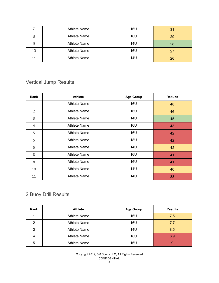|    | <b>Athlete Name</b> | 16U | 31 |
|----|---------------------|-----|----|
|    | Athlete Name        | 16U | 29 |
| 9  | <b>Athlete Name</b> | 14U | 28 |
| 10 | <b>Athlete Name</b> | 16U | 27 |
|    | Athlete Name        | 14U | 26 |

## Vertical Jump Results

| Rank           | <b>Athlete</b>      | <b>Age Group</b> | <b>Results</b> |
|----------------|---------------------|------------------|----------------|
| $\mathbf{1}$   | <b>Athlete Name</b> | <b>16U</b>       | 48             |
| $\overline{2}$ | <b>Athlete Name</b> | 16U              | 46             |
| 3              | <b>Athlete Name</b> | 14U              | 45             |
| 4              | <b>Athlete Name</b> | 16U              | 43             |
| 5              | <b>Athlete Name</b> | 16U              | 42             |
| 5              | <b>Athlete Name</b> | 18U              | 42             |
| 5              | <b>Athlete Name</b> | 14U              | 42             |
| 8              | Athlete Name        | 16U              | 41             |
| 8              | <b>Athlete Name</b> | 16U              | 41             |
| 10             | <b>Athlete Name</b> | 14U              | 40             |
| 11             | <b>Athlete Name</b> | 14U              | 38             |

## Buoy Drill Results

| Rank | <b>Athlete</b>      | <b>Age Group</b> | <b>Results</b> |
|------|---------------------|------------------|----------------|
|      | <b>Athlete Name</b> | 16U              | 7.5            |
| ົ    | <b>Athlete Name</b> | 16U              | 7.7            |
| 3    | <b>Athlete Name</b> | 14U              | 8.5            |
| Δ    | <b>Athlete Name</b> | 18U              | 8.9            |
| 5    | <b>Athlete Name</b> | 16U              | 9              |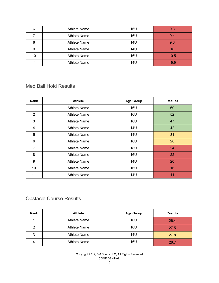| 6  | <b>Athlete Name</b> | 16U | 9.3  |
|----|---------------------|-----|------|
|    | <b>Athlete Name</b> | 16U | 9.4  |
| 8  | <b>Athlete Name</b> | 14U | 9.6  |
| 9  | <b>Athlete Name</b> | 14U | 10   |
| 10 | <b>Athlete Name</b> | 16U | 10.5 |
|    | <b>Athlete Name</b> | 14U | 19.9 |

#### Med Ball Hold Results

| Rank           | <b>Athlete</b>      | <b>Age Group</b> | <b>Results</b> |
|----------------|---------------------|------------------|----------------|
| 1              | <b>Athlete Name</b> | <b>16U</b>       | 60             |
| $\overline{2}$ | <b>Athlete Name</b> | 16U              | 52             |
| 3              | Athlete Name        | 16U              | 47             |
| 4              | Athlete Name        | 14U              | 42             |
| 5              | <b>Athlete Name</b> | 14U              | 31             |
| 6              | <b>Athlete Name</b> | 16U              | 28             |
| $\overline{7}$ | <b>Athlete Name</b> | 18U              | 24             |
| 8              | <b>Athlete Name</b> | 16U              | 22             |
| 9              | <b>Athlete Name</b> | 14U              | 20             |
| 10             | <b>Athlete Name</b> | 16U              | 16             |
| 11             | <b>Athlete Name</b> | <b>14U</b>       | 11             |

#### Obstacle Course Results

| Rank | <b>Athlete</b>      | <b>Age Group</b> | <b>Results</b> |
|------|---------------------|------------------|----------------|
|      | <b>Athlete Name</b> | 16U              | 26.4           |
| ົ    | <b>Athlete Name</b> | 16U              | 27.5           |
| 3    | <b>Athlete Name</b> | 14U              | 27.8           |
|      | <b>Athlete Name</b> | 16U              | 28.7           |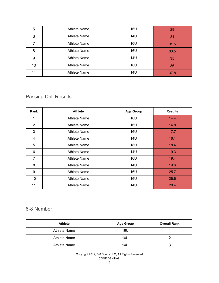| 5  | <b>Athlete Name</b> | 16U | 29   |
|----|---------------------|-----|------|
| 6  | <b>Athlete Name</b> | 14U | 31   |
|    | <b>Athlete Name</b> | 16U | 31.5 |
| 8  | <b>Athlete Name</b> | 16U | 33.5 |
| 9  | <b>Athlete Name</b> | 14U | 35   |
| 10 | <b>Athlete Name</b> | 18U | 36   |
| 11 | <b>Athlete Name</b> | 14U | 37.8 |

## Passing Drill Results

| <b>Rank</b>    | <b>Athlete</b>      | <b>Age Group</b> | <b>Results</b> |
|----------------|---------------------|------------------|----------------|
| 1              | <b>Athlete Name</b> | 16U              | 14.4           |
| $\overline{2}$ | <b>Athlete Name</b> | 16U              | 14.8           |
| 3              | Athlete Name        | 16U              | 17.7           |
| 4              | Athlete Name        | 14U              | 18.1           |
| 5              | Athlete Name        | 18U              | 18.4           |
| 6              | Athlete Name        | 14U              | 19.3           |
| $\overline{7}$ | <b>Athlete Name</b> | 16U              | 19.4           |
| 8              | <b>Athlete Name</b> | 14U              | 19.6           |
| 9              | <b>Athlete Name</b> | 16U              | 25.7           |
| 10             | <b>Athlete Name</b> | 16U              | 26.6           |
| 11             | Athlete Name        | <b>14U</b>       | 28.4           |

### 6-8 Number

| <b>Athlete</b> | <b>Age Group</b> | <b>Overall Rank</b> |
|----------------|------------------|---------------------|
| Athlete Name   | 16U              |                     |
| Athlete Name   | 16U              |                     |
| Athlete Name   | 14U              |                     |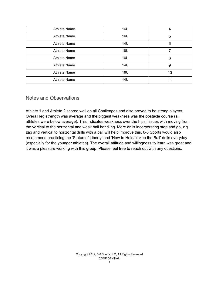| <b>Athlete Name</b> | <b>16U</b> | 4  |
|---------------------|------------|----|
| <b>Athlete Name</b> | 16U        | 5  |
| <b>Athlete Name</b> | <b>14U</b> | 6  |
| <b>Athlete Name</b> | <b>18U</b> |    |
| <b>Athlete Name</b> | <b>16U</b> | 8  |
| <b>Athlete Name</b> | <b>14U</b> | 9  |
| <b>Athlete Name</b> | 16U        | 10 |
| <b>Athlete Name</b> | 14U        | 11 |

#### <span id="page-7-0"></span>Notes and Observations

Athlete 1 and Athlete 2 scored well on all Challenges and also proved to be strong players. Overall leg strength was average and the biggest weakness was the obstacle course (all athletes were below average). This indicates weakness over the hips, issues with moving from the vertical to the horizontal and weak ball handling. More drills incorporating stop and go, zig zag and vertical to horizontal drills with a ball will help improve this. 6-8 Sports would also recommend practicing the 'Statue of Liberty' and 'How to Hold/pickup the Ball' drills everyday (especially for the younger athletes). The overall attitude and willingness to learn was great and it was a pleasure working with this group. Please feel free to reach out with any questions.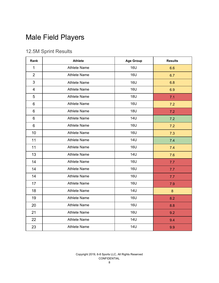# Male Field Players

## 12.5M Sprint Results

| Rank           | <b>Athlete</b>      | <b>Age Group</b> | <b>Results</b>   |
|----------------|---------------------|------------------|------------------|
| $\mathbf{1}$   | <b>Athlete Name</b> | <b>16U</b>       | 6.6              |
| $\overline{2}$ | <b>Athlete Name</b> | <b>16U</b>       | 6.7              |
| 3              | <b>Athlete Name</b> | <b>16U</b>       | 6.8              |
| $\overline{4}$ | <b>Athlete Name</b> | <b>16U</b>       | 6.9              |
| 5              | <b>Athlete Name</b> | <b>18U</b>       | 7.1              |
| 6              | <b>Athlete Name</b> | <b>16U</b>       | 7.2              |
| 6              | <b>Athlete Name</b> | <b>18U</b>       | 7.2              |
| 6              | <b>Athlete Name</b> | <b>14U</b>       | 7.2              |
| 6              | <b>Athlete Name</b> | <b>16U</b>       | 7.2              |
| 10             | <b>Athlete Name</b> | <b>16U</b>       | 7.3              |
| 11             | <b>Athlete Name</b> | <b>14U</b>       | 7.4              |
| 11             | <b>Athlete Name</b> | <b>16U</b>       | 7.4              |
| 13             | <b>Athlete Name</b> | <b>14U</b>       | 7.6              |
| 14             | <b>Athlete Name</b> | <b>16U</b>       | 7.7              |
| 14             | <b>Athlete Name</b> | <b>16U</b>       | 7.7              |
| 14             | <b>Athlete Name</b> | <b>16U</b>       | 7.7              |
| 17             | <b>Athlete Name</b> | <b>16U</b>       | 7.9              |
| 18             | <b>Athlete Name</b> | <b>14U</b>       | $\boldsymbol{8}$ |
| 19             | <b>Athlete Name</b> | <b>16U</b>       | 8.2              |
| 20             | <b>Athlete Name</b> | <b>16U</b>       | 8.8              |
| 21             | <b>Athlete Name</b> | <b>16U</b>       | 9.2              |
| 22             | <b>Athlete Name</b> | <b>14U</b>       | 9.4              |
| 23             | <b>Athlete Name</b> | <b>14U</b>       | 9.9              |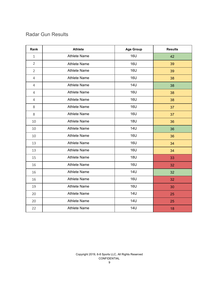#### Radar Gun Results

| Rank           | <b>Athlete</b>      | <b>Age Group</b> | <b>Results</b> |
|----------------|---------------------|------------------|----------------|
| $\mathbf{1}$   | <b>Athlete Name</b> | <b>16U</b>       | 42             |
| $\overline{2}$ | <b>Athlete Name</b> | <b>16U</b>       | 39             |
| $\overline{2}$ | <b>Athlete Name</b> | <b>16U</b>       | 39             |
| $\overline{4}$ | <b>Athlete Name</b> | <b>16U</b>       | 38             |
| $\overline{4}$ | <b>Athlete Name</b> | <b>14U</b>       | 38             |
| $\overline{4}$ | <b>Athlete Name</b> | <b>16U</b>       | 38             |
| $\overline{4}$ | <b>Athlete Name</b> | <b>16U</b>       | 38             |
| 8              | <b>Athlete Name</b> | <b>16U</b>       | 37             |
| 8              | <b>Athlete Name</b> | <b>16U</b>       | 37             |
| 10             | <b>Athlete Name</b> | <b>18U</b>       | 36             |
| 10             | <b>Athlete Name</b> | <b>14U</b>       | 36             |
| 10             | <b>Athlete Name</b> | <b>16U</b>       | 36             |
| 13             | <b>Athlete Name</b> | <b>16U</b>       | 34             |
| 13             | <b>Athlete Name</b> | <b>16U</b>       | 34             |
| 15             | <b>Athlete Name</b> | <b>18U</b>       | 33             |
| 16             | <b>Athlete Name</b> | <b>16U</b>       | 32             |
| 16             | <b>Athlete Name</b> | <b>14U</b>       | 32             |
| 16             | <b>Athlete Name</b> | <b>16U</b>       | 32             |
| 19             | <b>Athlete Name</b> | <b>16U</b>       | 30             |
| 20             | <b>Athlete Name</b> | <b>14U</b>       | 25             |
| 20             | <b>Athlete Name</b> | <b>14U</b>       | 25             |
| 22             | <b>Athlete Name</b> | <b>14U</b>       | 18             |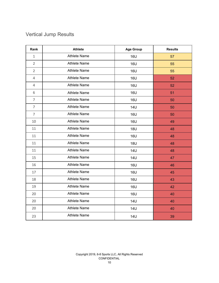## Vertical Jump Results

| Rank           | <b>Athlete</b>      | <b>Age Group</b> | <b>Results</b> |
|----------------|---------------------|------------------|----------------|
| $\mathbf{1}$   | <b>Athlete Name</b> | <b>16U</b>       | 57             |
| $\overline{2}$ | <b>Athlete Name</b> | <b>16U</b>       | 55             |
| $\overline{2}$ | <b>Athlete Name</b> | <b>16U</b>       | 55             |
| $\overline{4}$ | <b>Athlete Name</b> | <b>16U</b>       | 52             |
| $\overline{4}$ | <b>Athlete Name</b> | <b>16U</b>       | 52             |
| 6              | <b>Athlete Name</b> | <b>16U</b>       | 51             |
| $\overline{7}$ | <b>Athlete Name</b> | <b>16U</b>       | 50             |
| $\overline{7}$ | <b>Athlete Name</b> | <b>14U</b>       | 50             |
| $\overline{7}$ | <b>Athlete Name</b> | <b>16U</b>       | 50             |
| 10             | <b>Athlete Name</b> | <b>16U</b>       | 49             |
| 11             | <b>Athlete Name</b> | <b>18U</b>       | 48             |
| 11             | <b>Athlete Name</b> | <b>16U</b>       | 48             |
| 11             | <b>Athlete Name</b> | <b>18U</b>       | 48             |
| 11             | <b>Athlete Name</b> | <b>14U</b>       | 48             |
| 15             | <b>Athlete Name</b> | <b>14U</b>       | 47             |
| 16             | <b>Athlete Name</b> | <b>16U</b>       | 46             |
| 17             | <b>Athlete Name</b> | <b>16U</b>       | 45             |
| 18             | <b>Athlete Name</b> | <b>16U</b>       | 43             |
| 19             | <b>Athlete Name</b> | <b>16U</b>       | 42             |
| 20             | <b>Athlete Name</b> | <b>16U</b>       | 40             |
| 20             | <b>Athlete Name</b> | <b>14U</b>       | 40             |
| 20             | <b>Athlete Name</b> | <b>14U</b>       | 40             |
| 23             | <b>Athlete Name</b> | <b>14U</b>       | 39             |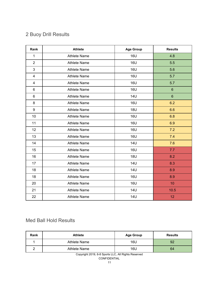## Buoy Drill Results

| Rank           | <b>Athlete</b>      | <b>Age Group</b> | <b>Results</b> |
|----------------|---------------------|------------------|----------------|
| 1              | <b>Athlete Name</b> | <b>16U</b>       | 4.8            |
| $\overline{2}$ | <b>Athlete Name</b> | <b>16U</b>       | 5.5            |
| $\mathfrak{S}$ | <b>Athlete Name</b> | <b>16U</b>       | 5.6            |
| $\overline{4}$ | <b>Athlete Name</b> | <b>16U</b>       | 5.7            |
| $\overline{4}$ | <b>Athlete Name</b> | <b>16U</b>       | 5.7            |
| 6              | <b>Athlete Name</b> | <b>16U</b>       | $\,6\,$        |
| 6              | <b>Athlete Name</b> | <b>14U</b>       | $6\phantom{a}$ |
| 8              | <b>Athlete Name</b> | <b>16U</b>       | 6.2            |
| 9              | <b>Athlete Name</b> | <b>18U</b>       | 6.6            |
| 10             | <b>Athlete Name</b> | <b>16U</b>       | 6.8            |
| 11             | <b>Athlete Name</b> | <b>16U</b>       | 6.9            |
| 12             | <b>Athlete Name</b> | <b>16U</b>       | 7.2            |
| 13             | <b>Athlete Name</b> | <b>16U</b>       | 7.4            |
| 14             | <b>Athlete Name</b> | <b>14U</b>       | 7.6            |
| 15             | <b>Athlete Name</b> | <b>16U</b>       | 7.7            |
| 16             | <b>Athlete Name</b> | <b>18U</b>       | 8.2            |
| 17             | <b>Athlete Name</b> | <b>14U</b>       | 8.3            |
| 18             | <b>Athlete Name</b> | <b>14U</b>       | 8.9            |
| 18             | <b>Athlete Name</b> | <b>16U</b>       | 8.9            |
| 20             | <b>Athlete Name</b> | <b>16U</b>       | 10             |
| 21             | <b>Athlete Name</b> | <b>14U</b>       | 10.5           |
| 22             | <b>Athlete Name</b> | <b>14U</b>       | 12             |

#### Med Ball Hold Results

| Rank | <b>Athlete</b> | <b>Age Group</b> | <b>Results</b> |
|------|----------------|------------------|----------------|
|      | Athlete Name   | 16U              | 92             |
|      | Athlete Name   | 16U              | 64             |

Copyright 2019, 6-8 Sports LLC, All Rights Reserved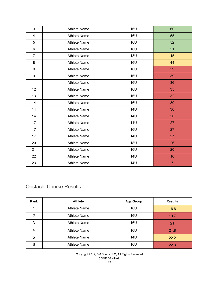| 3              | <b>Athlete Name</b> | <b>16U</b> | 60             |
|----------------|---------------------|------------|----------------|
| 4              | <b>Athlete Name</b> | <b>16U</b> | 55             |
| 5              | <b>Athlete Name</b> | <b>16U</b> | 52             |
| 6              | <b>Athlete Name</b> | <b>16U</b> | 51             |
| $\overline{7}$ | <b>Athlete Name</b> | <b>18U</b> | 45             |
| 8              | <b>Athlete Name</b> | <b>16U</b> | 44             |
| 9              | <b>Athlete Name</b> | <b>16U</b> | 39             |
| 9              | <b>Athlete Name</b> | <b>16U</b> | 39             |
| 11             | <b>Athlete Name</b> | <b>16U</b> | 36             |
| 12             | <b>Athlete Name</b> | <b>16U</b> | 35             |
| 13             | <b>Athlete Name</b> | <b>16U</b> | 32             |
| 14             | <b>Athlete Name</b> | <b>16U</b> | 30             |
| 14             | <b>Athlete Name</b> | <b>14U</b> | 30             |
| 14             | <b>Athlete Name</b> | <b>14U</b> | 30             |
| 17             | <b>Athlete Name</b> | <b>14U</b> | 27             |
| 17             | <b>Athlete Name</b> | <b>16U</b> | 27             |
| 17             | <b>Athlete Name</b> | <b>14U</b> | 27             |
| 20             | <b>Athlete Name</b> | <b>18U</b> | 26             |
| 21             | <b>Athlete Name</b> | <b>16U</b> | 20             |
| 22             | <b>Athlete Name</b> | 14U        | 10             |
| 23             | <b>Athlete Name</b> | <b>14U</b> | $\overline{7}$ |

### Obstacle Course Results

| Rank          | <b>Athlete</b>      | <b>Age Group</b> | <b>Results</b> |
|---------------|---------------------|------------------|----------------|
|               | <b>Athlete Name</b> | 16U              | 16.6           |
| $\mathcal{P}$ | <b>Athlete Name</b> | 16U              | 19.7           |
| 3             | <b>Athlete Name</b> | 16U              | 21             |
| 4             | <b>Athlete Name</b> | 16U              | 21.8           |
| 5             | <b>Athlete Name</b> | 14U              | 22.2           |
| 6             | <b>Athlete Name</b> | 16U              | 22.3           |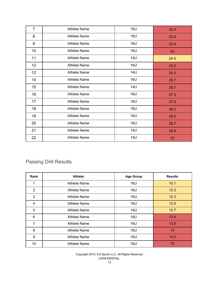| $\overline{7}$ | <b>Athlete Name</b> | <b>16U</b> | 22.4 |
|----------------|---------------------|------------|------|
| 8              | <b>Athlete Name</b> | <b>18U</b> | 22.6 |
| 9              | <b>Athlete Name</b> | <b>16U</b> | 23.9 |
| 10             | <b>Athlete Name</b> | <b>16U</b> | 24   |
| 11             | <b>Athlete Name</b> | <b>14U</b> | 24.5 |
| 12             | <b>Athlete Name</b> | <b>16U</b> | 25.5 |
| 12             | <b>Athlete Name</b> | <b>14U</b> | 25.5 |
| 14             | <b>Athlete Name</b> | <b>16U</b> | 25.7 |
| 15             | <b>Athlete Name</b> | <b>14U</b> | 26.7 |
| 16             | <b>Athlete Name</b> | <b>16U</b> | 27.3 |
| 17             | <b>Athlete Name</b> | <b>16U</b> | 27.5 |
| 18             | <b>Athlete Name</b> | <b>18U</b> | 28.2 |
| 19             | <b>Athlete Name</b> | <b>16U</b> | 28.5 |
| 20             | <b>Athlete Name</b> | <b>16U</b> | 28.7 |
| 21             | <b>Athlete Name</b> | <b>14U</b> | 29.8 |
| 22             | <b>Athlete Name</b> | <b>14U</b> | 33   |

## Passing Drill Results

| Rank           | <b>Athlete</b>      | <b>Age Group</b> | <b>Results</b> |
|----------------|---------------------|------------------|----------------|
| 1              | Athlete Name        | <b>16U</b>       | 10.1           |
| $\overline{2}$ | Athlete Name        | 16U              | 12.3           |
| $\overline{2}$ | Athlete Name        | 16U              | 12.3           |
| 4              | Athlete Name        | 16U              | 12.5           |
| 5              | Athlete Name        | 14U              | 12.7           |
| 6              | Athlete Name        | 16U              | 13.4           |
| 7              | <b>Athlete Name</b> | 16U              | 13.9           |
| 8              | <b>Athlete Name</b> | <b>16U</b>       | 14             |
| 9              | <b>Athlete Name</b> | 16U              | 14.2           |
| 10             | Athlete Name        | <b>16U</b>       | 15             |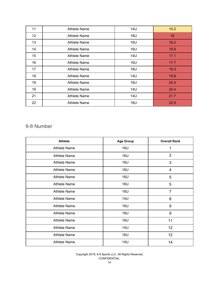| 11              | Athlete Name        | <b>14U</b> | 15.2 |
|-----------------|---------------------|------------|------|
| 12 <sub>2</sub> | <b>Athlete Name</b> | 18U        | 16   |
| 13              | Athlete Name        | 16U        | 16.2 |
| 14              | Athlete Name        | 16U        | 16.9 |
| 15              | <b>Athlete Name</b> | 14U        | 17.1 |
| 16              | Athlete Name        | <b>16U</b> | 17.7 |
| 17              | Athlete Name        | <b>18U</b> | 19.3 |
| 18              | <b>Athlete Name</b> | 14U        | 19.8 |
| 19              | <b>Athlete Name</b> | 16U        | 20.4 |
| 19              | <b>Athlete Name</b> | 14U        | 20.4 |
| 21              | <b>Athlete Name</b> | 14U        | 21.7 |
| 22              | <b>Athlete Name</b> | <b>16U</b> | 22.8 |

#### 6-8 Number

| <b>Athlete</b>      | <b>Age Group</b> | <b>Overall Rank</b> |
|---------------------|------------------|---------------------|
| <b>Athlete Name</b> | <b>16U</b>       | 1                   |
| <b>Athlete Name</b> | 16U              | $\overline{2}$      |
| <b>Athlete Name</b> | <b>16U</b>       | 3                   |
| <b>Athlete Name</b> | <b>16U</b>       | 4                   |
| <b>Athlete Name</b> | 16U              | 5                   |
| <b>Athlete Name</b> | 16U              | 5                   |
| <b>Athlete Name</b> | <b>16U</b>       | $\overline{7}$      |
| <b>Athlete Name</b> | 14U              | 8                   |
| <b>Athlete Name</b> | <b>16U</b>       | 9                   |
| <b>Athlete Name</b> | 18U              | 9                   |
| <b>Athlete Name</b> | <b>16U</b>       | 11                  |
| <b>Athlete Name</b> | 14U              | 12                  |
| <b>Athlete Name</b> | <b>16U</b>       | 12 <sub>2</sub>     |
| <b>Athlete Name</b> | <b>14U</b>       | 14                  |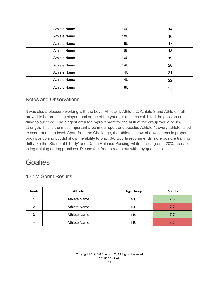| <b>Athlete Name</b> | <b>16U</b> | 14 |
|---------------------|------------|----|
| <b>Athlete Name</b> | <b>18U</b> | 16 |
| <b>Athlete Name</b> | <b>16U</b> | 17 |
| <b>Athlete Name</b> | <b>16U</b> | 18 |
| <b>Athlete Name</b> | <b>16U</b> | 19 |
| <b>Athlete Name</b> | <b>14U</b> | 20 |
| <b>Athlete Name</b> | <b>14U</b> | 21 |
| <b>Athlete Name</b> | <b>14U</b> | 22 |
| <b>Athlete Name</b> | 16U        | 23 |

#### Notes and Observations

It was also a pleasure working with the boys. Athlete 1, Athlete 2, Athlete 3 and Athlete 4 all proved to be promising players and some of the younger athletes exhibited the passion and drive to succeed. The biggest area for improvement for the bulk of the group would be leg strength. This is the most important area in our sport and besides Athlete 1, every athlete failed to score at a high level. Apart from the Challenge, the athletes showed a weakness in proper body positioning but did show the ability to play. 6-8 Sports recommends more posture training drills like the 'Statue of Liberty' and 'Catch Release Passing' while focusing on a 20% increase in leg training during practices. Please feel free to reach out with any questions.

## **Goalies**

### <span id="page-15-0"></span>12.5M Sprint Results

| Rank | <b>Athlete</b>      | <b>Age Group</b> | <b>Results</b> |
|------|---------------------|------------------|----------------|
|      | <b>Athlete Name</b> | 16U              | 7.3            |
| 2    | <b>Athlete Name</b> | 16U              | 7.7            |
| 2    | <b>Athlete Name</b> | 14U              | 7.7            |
| 4    | <b>Athlete Name</b> | 14U              | 8.3            |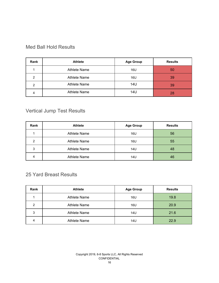#### Med Ball Hold Results

| Rank | <b>Athlete</b>      | <b>Age Group</b> | <b>Results</b> |
|------|---------------------|------------------|----------------|
|      | <b>Athlete Name</b> | 16U              | 50             |
| 2    | <b>Athlete Name</b> | 16U              | 39             |
| 2    | <b>Athlete Name</b> | 14U              | 39             |
|      | <b>Athlete Name</b> | 14U              | 28             |

## Vertical Jump Test Results

| Rank | <b>Athlete</b>      | <b>Age Group</b> | <b>Results</b> |
|------|---------------------|------------------|----------------|
|      | <b>Athlete Name</b> | 16U              | 56             |
| 2    | <b>Athlete Name</b> | 16U              | 55             |
| 3    | <b>Athlete Name</b> | 14U              | 48             |
| 4    | <b>Athlete Name</b> | 14U              | 46             |

#### Yard Breast Results

| Rank | <b>Athlete</b>      | <b>Age Group</b> | <b>Results</b> |
|------|---------------------|------------------|----------------|
|      | Athlete Name        | 16U              | 19.8           |
| 2    | <b>Athlete Name</b> | 16U              | 20.9           |
| 3    | <b>Athlete Name</b> | 14U              | 21.6           |
| 4    | <b>Athlete Name</b> | 14U              | 22.9           |